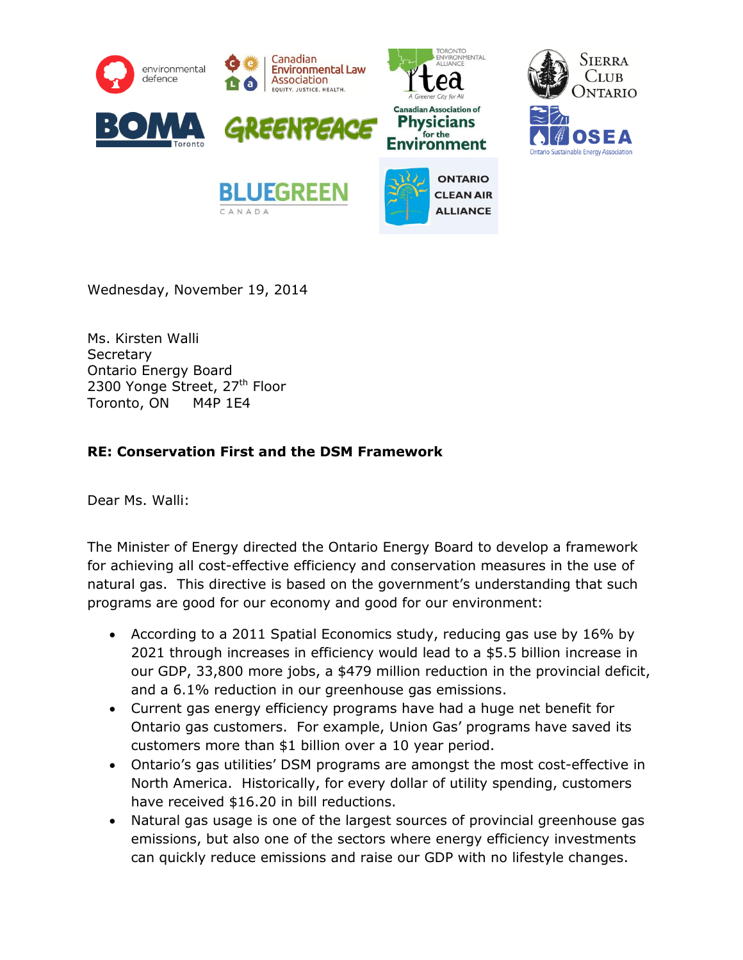

Wednesday, November 19, 2014

Ms. Kirsten Walli **Secretary** Ontario Energy Board 2300 Yonge Street, 27<sup>th</sup> Floor Toronto, ON M4P 1E4

## **RE: Conservation First and the DSM Framework**

Dear Ms. Walli:

The Minister of Energy directed the Ontario Energy Board to develop a framework for achieving all cost-effective efficiency and conservation measures in the use of natural gas. This directive is based on the government's understanding that such programs are good for our economy and good for our environment:

- According to a 2011 Spatial Economics study, reducing gas use by 16% by 2021 through increases in efficiency would lead to a \$5.5 billion increase in our GDP, 33,800 more jobs, a \$479 million reduction in the provincial deficit, and a 6.1% reduction in our greenhouse gas emissions.
- Current gas energy efficiency programs have had a huge net benefit for Ontario gas customers. For example, Union Gas' programs have saved its customers more than \$1 billion over a 10 year period.
- Ontario's gas utilities' DSM programs are amongst the most cost-effective in North America. Historically, for every dollar of utility spending, customers have received \$16.20 in bill reductions.
- Natural gas usage is one of the largest sources of provincial greenhouse gas emissions, but also one of the sectors where energy efficiency investments can quickly reduce emissions and raise our GDP with no lifestyle changes.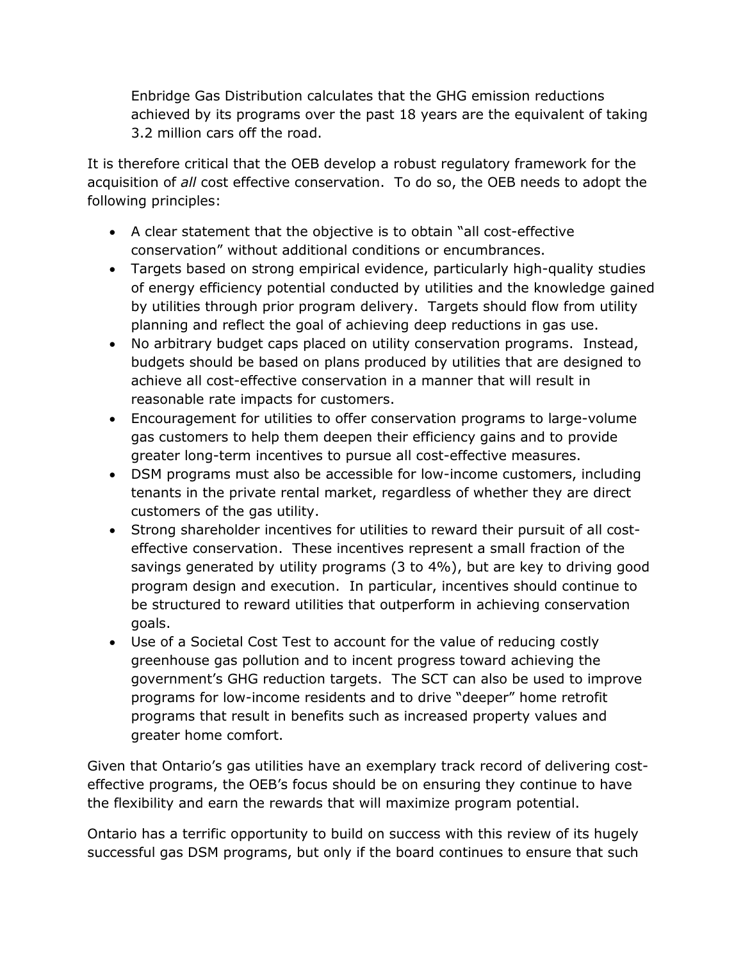Enbridge Gas Distribution calculates that the GHG emission reductions achieved by its programs over the past 18 years are the equivalent of taking 3.2 million cars off the road.

It is therefore critical that the OEB develop a robust regulatory framework for the acquisition of *all* cost effective conservation. To do so, the OEB needs to adopt the following principles:

- A clear statement that the objective is to obtain "all cost-effective conservation" without additional conditions or encumbrances.
- Targets based on strong empirical evidence, particularly high-quality studies of energy efficiency potential conducted by utilities and the knowledge gained by utilities through prior program delivery. Targets should flow from utility planning and reflect the goal of achieving deep reductions in gas use.
- No arbitrary budget caps placed on utility conservation programs. Instead, budgets should be based on plans produced by utilities that are designed to achieve all cost-effective conservation in a manner that will result in reasonable rate impacts for customers.
- Encouragement for utilities to offer conservation programs to large-volume gas customers to help them deepen their efficiency gains and to provide greater long-term incentives to pursue all cost-effective measures.
- DSM programs must also be accessible for low-income customers, including tenants in the private rental market, regardless of whether they are direct customers of the gas utility.
- Strong shareholder incentives for utilities to reward their pursuit of all costeffective conservation. These incentives represent a small fraction of the savings generated by utility programs (3 to 4%), but are key to driving good program design and execution. In particular, incentives should continue to be structured to reward utilities that outperform in achieving conservation goals.
- Use of a Societal Cost Test to account for the value of reducing costly greenhouse gas pollution and to incent progress toward achieving the government's GHG reduction targets. The SCT can also be used to improve programs for low-income residents and to drive "deeper" home retrofit programs that result in benefits such as increased property values and greater home comfort.

Given that Ontario's gas utilities have an exemplary track record of delivering costeffective programs, the OEB's focus should be on ensuring they continue to have the flexibility and earn the rewards that will maximize program potential.

Ontario has a terrific opportunity to build on success with this review of its hugely successful gas DSM programs, but only if the board continues to ensure that such